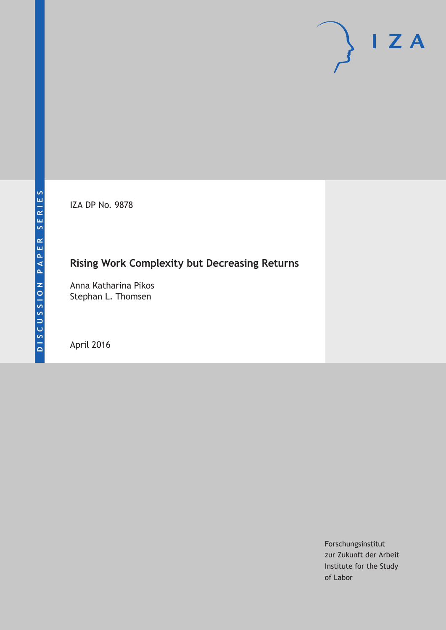IZA DP No. 9878

# **Rising Work Complexity but Decreasing Returns**

Anna Katharina Pikos Stephan L. Thomsen

April 2016

Forschungsinstitut zur Zukunft der Arbeit Institute for the Study of Labor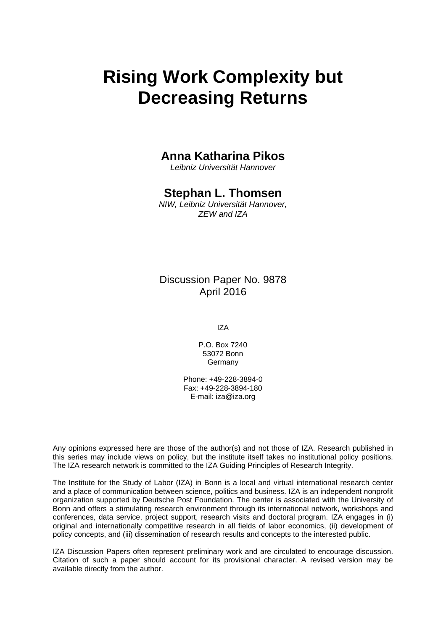# **Rising Work Complexity but Decreasing Returns**

### **Anna Katharina Pikos**

*Leibniz Universität Hannover* 

### **Stephan L. Thomsen**

*NIW, Leibniz Universität Hannover, ZEW and IZA* 

Discussion Paper No. 9878 April 2016

IZA

P.O. Box 7240 53072 Bonn Germany

Phone: +49-228-3894-0 Fax: +49-228-3894-180 E-mail: iza@iza.org

Any opinions expressed here are those of the author(s) and not those of IZA. Research published in this series may include views on policy, but the institute itself takes no institutional policy positions. The IZA research network is committed to the IZA Guiding Principles of Research Integrity.

The Institute for the Study of Labor (IZA) in Bonn is a local and virtual international research center and a place of communication between science, politics and business. IZA is an independent nonprofit organization supported by Deutsche Post Foundation. The center is associated with the University of Bonn and offers a stimulating research environment through its international network, workshops and conferences, data service, project support, research visits and doctoral program. IZA engages in (i) original and internationally competitive research in all fields of labor economics, (ii) development of policy concepts, and (iii) dissemination of research results and concepts to the interested public.

IZA Discussion Papers often represent preliminary work and are circulated to encourage discussion. Citation of such a paper should account for its provisional character. A revised version may be available directly from the author.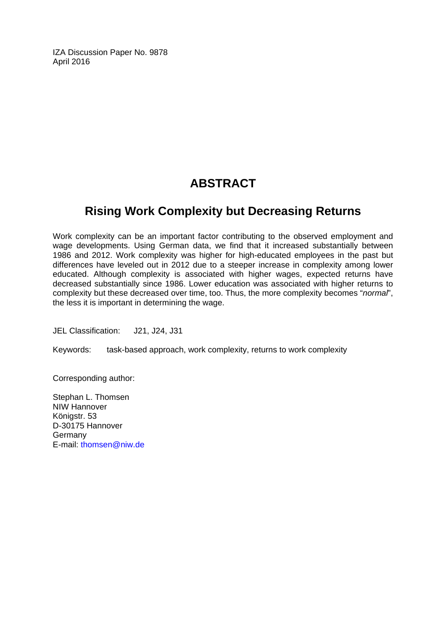IZA Discussion Paper No. 9878 April 2016

## **ABSTRACT**

### **Rising Work Complexity but Decreasing Returns**

Work complexity can be an important factor contributing to the observed employment and wage developments. Using German data, we find that it increased substantially between 1986 and 2012. Work complexity was higher for high-educated employees in the past but differences have leveled out in 2012 due to a steeper increase in complexity among lower educated. Although complexity is associated with higher wages, expected returns have decreased substantially since 1986. Lower education was associated with higher returns to complexity but these decreased over time, too. Thus, the more complexity becomes "*normal*", the less it is important in determining the wage.

JEL Classification: J21, J24, J31

Keywords: task-based approach, work complexity, returns to work complexity

Corresponding author:

Stephan L. Thomsen NIW Hannover Königstr, 53 D-30175 Hannover Germany E-mail: thomsen@niw.de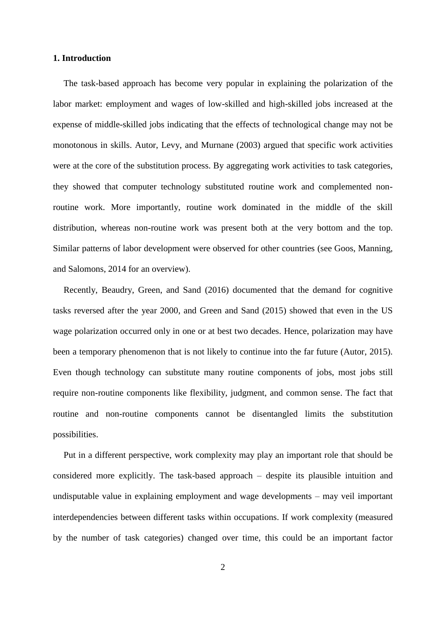#### **1. Introduction**

The task-based approach has become very popular in explaining the polarization of the labor market: employment and wages of low-skilled and high-skilled jobs increased at the expense of middle-skilled jobs indicating that the effects of technological change may not be monotonous in skills. Autor, Levy, and Murnane (2003) argued that specific work activities were at the core of the substitution process. By aggregating work activities to task categories, they showed that computer technology substituted routine work and complemented nonroutine work. More importantly, routine work dominated in the middle of the skill distribution, whereas non-routine work was present both at the very bottom and the top. Similar patterns of labor development were observed for other countries (see Goos, Manning, and Salomons, 2014 for an overview).

Recently, Beaudry, Green, and Sand (2016) documented that the demand for cognitive tasks reversed after the year 2000, and Green and Sand (2015) showed that even in the US wage polarization occurred only in one or at best two decades. Hence, polarization may have been a temporary phenomenon that is not likely to continue into the far future (Autor, 2015). Even though technology can substitute many routine components of jobs, most jobs still require non-routine components like flexibility, judgment, and common sense. The fact that routine and non-routine components cannot be disentangled limits the substitution possibilities.

Put in a different perspective, work complexity may play an important role that should be considered more explicitly. The task-based approach – despite its plausible intuition and undisputable value in explaining employment and wage developments – may veil important interdependencies between different tasks within occupations. If work complexity (measured by the number of task categories) changed over time, this could be an important factor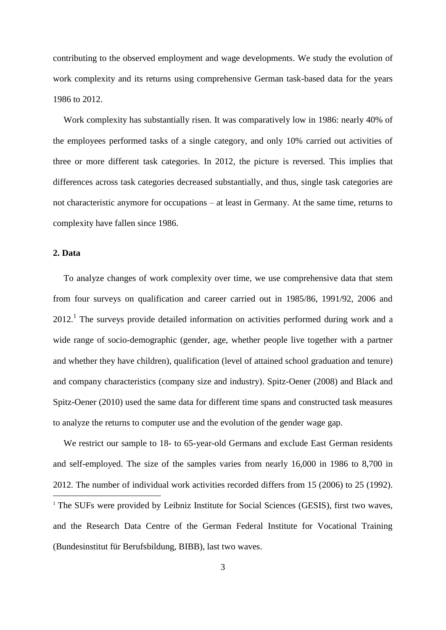contributing to the observed employment and wage developments. We study the evolution of work complexity and its returns using comprehensive German task-based data for the years 1986 to 2012.

Work complexity has substantially risen. It was comparatively low in 1986: nearly 40% of the employees performed tasks of a single category, and only 10% carried out activities of three or more different task categories. In 2012, the picture is reversed. This implies that differences across task categories decreased substantially, and thus, single task categories are not characteristic anymore for occupations – at least in Germany. At the same time, returns to complexity have fallen since 1986.

#### **2. Data**

To analyze changes of work complexity over time, we use comprehensive data that stem from four surveys on qualification and career carried out in 1985/86, 1991/92, 2006 and  $2012<sup>1</sup>$ . The surveys provide detailed information on activities performed during work and a wide range of socio-demographic (gender, age, whether people live together with a partner and whether they have children), qualification (level of attained school graduation and tenure) and company characteristics (company size and industry). Spitz-Oener (2008) and Black and Spitz-Oener (2010) used the same data for different time spans and constructed task measures to analyze the returns to computer use and the evolution of the gender wage gap.

We restrict our sample to 18- to 65-year-old Germans and exclude East German residents and self-employed. The size of the samples varies from nearly 16,000 in 1986 to 8,700 in 2012. The number of individual work activities recorded differs from 15 (2006) to 25 (1992). 1 <sup>1</sup> The SUFs were provided by Leibniz Institute for Social Sciences (GESIS), first two waves, and the Research Data Centre of the German Federal Institute for Vocational Training (Bundesinstitut für Berufsbildung, BIBB), last two waves.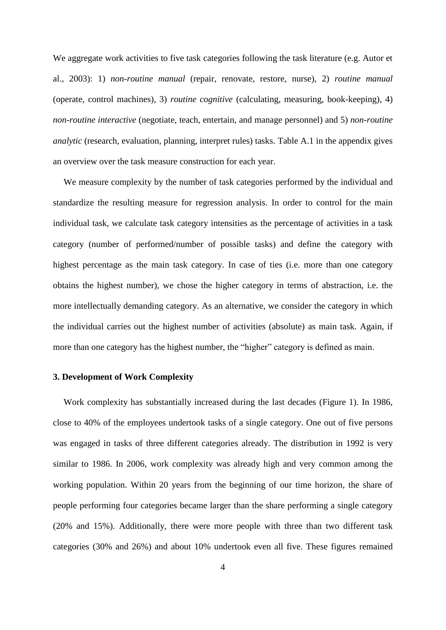We aggregate work activities to five task categories following the task literature (e.g. Autor et al., 2003): 1) *non-routine manual* (repair, renovate, restore, nurse), 2) *routine manual* (operate, control machines), 3) *routine cognitive* (calculating, measuring, book-keeping), 4) *non-routine interactive* (negotiate, teach, entertain, and manage personnel) and 5) *non-routine analytic* (research, evaluation, planning, interpret rules) tasks. Table A.1 in the appendix gives an overview over the task measure construction for each year.

We measure complexity by the number of task categories performed by the individual and standardize the resulting measure for regression analysis. In order to control for the main individual task, we calculate task category intensities as the percentage of activities in a task category (number of performed/number of possible tasks) and define the category with highest percentage as the main task category. In case of ties (i.e. more than one category obtains the highest number), we chose the higher category in terms of abstraction, i.e. the more intellectually demanding category. As an alternative, we consider the category in which the individual carries out the highest number of activities (absolute) as main task. Again, if more than one category has the highest number, the "higher" category is defined as main.

#### **3. Development of Work Complexity**

Work complexity has substantially increased during the last decades (Figure 1). In 1986, close to 40% of the employees undertook tasks of a single category. One out of five persons was engaged in tasks of three different categories already. The distribution in 1992 is very similar to 1986. In 2006, work complexity was already high and very common among the working population. Within 20 years from the beginning of our time horizon, the share of people performing four categories became larger than the share performing a single category (20% and 15%). Additionally, there were more people with three than two different task categories (30% and 26%) and about 10% undertook even all five. These figures remained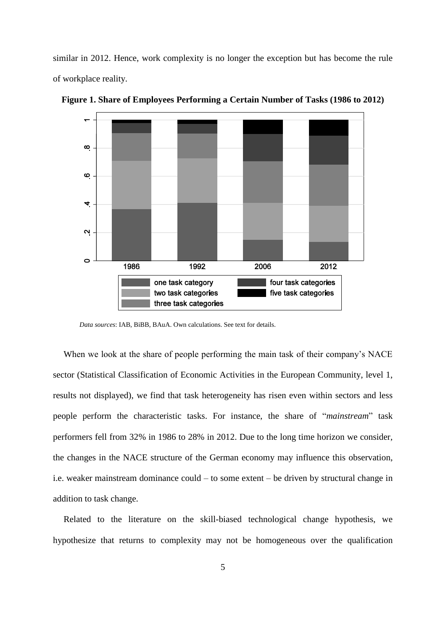similar in 2012. Hence, work complexity is no longer the exception but has become the rule of workplace reality.



**Figure 1. Share of Employees Performing a Certain Number of Tasks (1986 to 2012)**

*Data sources*: IAB, BiBB, BAuA. Own calculations. See text for details.

When we look at the share of people performing the main task of their company's NACE sector (Statistical Classification of Economic Activities in the European Community, level 1, results not displayed), we find that task heterogeneity has risen even within sectors and less people perform the characteristic tasks. For instance, the share of "*mainstream*" task performers fell from 32% in 1986 to 28% in 2012. Due to the long time horizon we consider, the changes in the NACE structure of the German economy may influence this observation, i.e. weaker mainstream dominance could – to some extent – be driven by structural change in addition to task change.

Related to the literature on the skill-biased technological change hypothesis, we hypothesize that returns to complexity may not be homogeneous over the qualification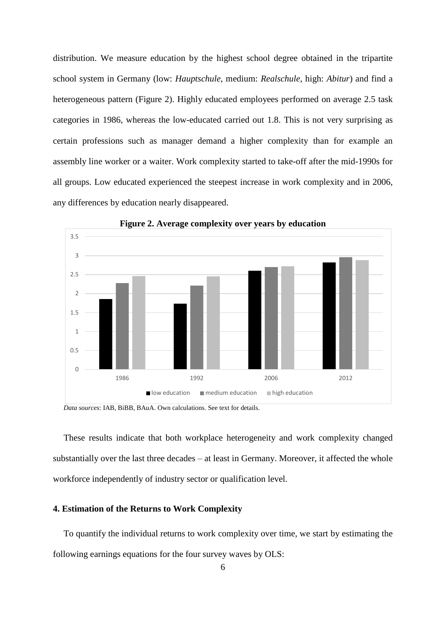distribution. We measure education by the highest school degree obtained in the tripartite school system in Germany (low: *Hauptschule*, medium: *Realschule*, high: *Abitur*) and find a heterogeneous pattern (Figure 2). Highly educated employees performed on average 2.5 task categories in 1986, whereas the low-educated carried out 1.8. This is not very surprising as certain professions such as manager demand a higher complexity than for example an assembly line worker or a waiter. Work complexity started to take-off after the mid-1990s for all groups. Low educated experienced the steepest increase in work complexity and in 2006, any differences by education nearly disappeared.



**Figure 2. Average complexity over years by education**

*Data sources*: IAB, BiBB, BAuA. Own calculations. See text for details.

These results indicate that both workplace heterogeneity and work complexity changed substantially over the last three decades – at least in Germany. Moreover, it affected the whole workforce independently of industry sector or qualification level.

#### **4. Estimation of the Returns to Work Complexity**

To quantify the individual returns to work complexity over time, we start by estimating the following earnings equations for the four survey waves by OLS: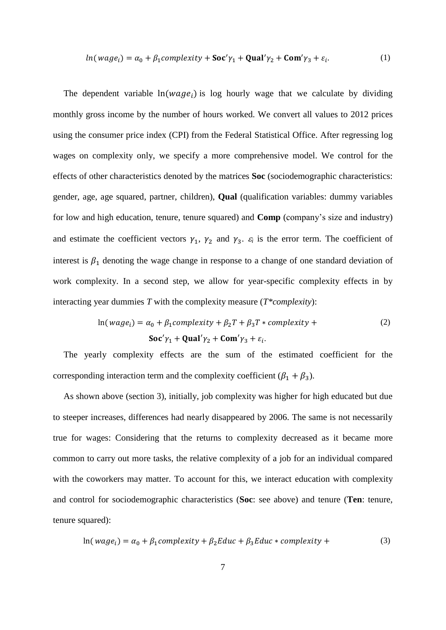$$
ln(wage_i) = \alpha_0 + \beta_1 complexity + \mathbf{Soc'}\gamma_1 + \mathbf{Qual'}\gamma_2 + \mathbf{Com'}\gamma_3 + \varepsilon_i.
$$
 (1)

The dependent variable  $ln(wage_i)$  is log hourly wage that we calculate by dividing monthly gross income by the number of hours worked. We convert all values to 2012 prices using the consumer price index (CPI) from the Federal Statistical Office. After regressing log wages on complexity only, we specify a more comprehensive model. We control for the effects of other characteristics denoted by the matrices **Soc** (sociodemographic characteristics: gender, age, age squared, partner, children), **Qual** (qualification variables: dummy variables for low and high education, tenure, tenure squared) and **Comp** (company's size and industry) and estimate the coefficient vectors  $\gamma_1$ ,  $\gamma_2$  and  $\gamma_3$ .  $\varepsilon_i$  is the error term. The coefficient of interest is  $\beta_1$  denoting the wage change in response to a change of one standard deviation of work complexity. In a second step, we allow for year-specific complexity effects in by interacting year dummies *T* with the complexity measure (*T\*complexity*):

$$
\ln(wage_i) = \alpha_0 + \beta_1 complexity + \beta_2 T + \beta_3 T * complexity + \text{Soc'}\gamma_1 + \text{Qual'}\gamma_2 + \text{Com'}\gamma_3 + \varepsilon_i.
$$
 (2)

The yearly complexity effects are the sum of the estimated coefficient for the corresponding interaction term and the complexity coefficient ( $\beta_1 + \beta_3$ ).

As shown above (section 3), initially, job complexity was higher for high educated but due to steeper increases, differences had nearly disappeared by 2006. The same is not necessarily true for wages: Considering that the returns to complexity decreased as it became more common to carry out more tasks, the relative complexity of a job for an individual compared with the coworkers may matter. To account for this, we interact education with complexity and control for sociodemographic characteristics (**Soc**: see above) and tenure (**Ten**: tenure, tenure squared):

$$
\ln(wage_i) = \alpha_0 + \beta_1 complexity + \beta_2 Educ + \beta_3 Educ * complexity + \tag{3}
$$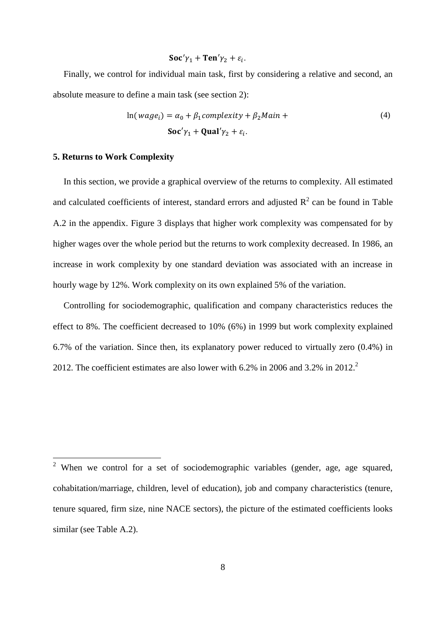$$
Soc'\gamma_1 + Ten'\gamma_2 + \varepsilon_i.
$$

Finally, we control for individual main task, first by considering a relative and second, an absolute measure to define a main task (see section 2):

$$
\ln(wage_i) = \alpha_0 + \beta_1 complexity + \beta_2 Main +
$$
  
Soc' $\gamma_1$  + **Qual'** $\gamma_2$  +  $\varepsilon_i$ . (4)

#### **5. Returns to Work Complexity**

1

In this section, we provide a graphical overview of the returns to complexity. All estimated and calculated coefficients of interest, standard errors and adjusted  $R^2$  can be found in Table A.2 in the appendix. Figure 3 displays that higher work complexity was compensated for by higher wages over the whole period but the returns to work complexity decreased. In 1986, an increase in work complexity by one standard deviation was associated with an increase in hourly wage by 12%. Work complexity on its own explained 5% of the variation.

Controlling for sociodemographic, qualification and company characteristics reduces the effect to 8%. The coefficient decreased to 10% (6%) in 1999 but work complexity explained 6.7% of the variation. Since then, its explanatory power reduced to virtually zero (0.4%) in 2012. The coefficient estimates are also lower with 6.2% in 2006 and 3.2% in 2012. 2

<sup>&</sup>lt;sup>2</sup> When we control for a set of sociodemographic variables (gender, age, age squared, cohabitation/marriage, children, level of education), job and company characteristics (tenure, tenure squared, firm size, nine NACE sectors), the picture of the estimated coefficients looks similar (see Table A.2).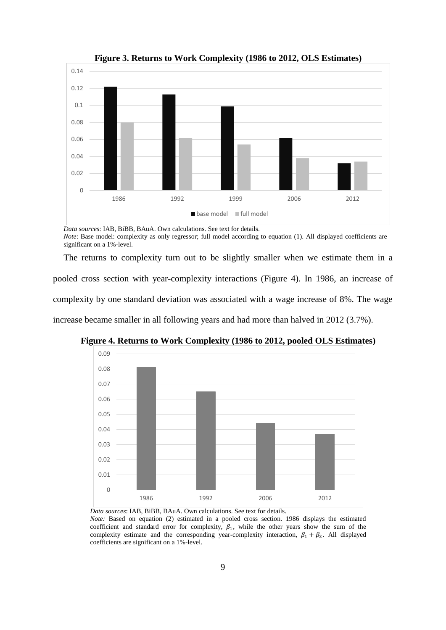

**Figure 3. Returns to Work Complexity (1986 to 2012, OLS Estimates)**

*Data sources*: IAB, BiBB, BAuA. Own calculations. See text for details. *Note*: Base model: complexity as only regressor; full model according to equation (1). All displayed coefficients are significant on a 1%-level.

The returns to complexity turn out to be slightly smaller when we estimate them in a pooled cross section with year-complexity interactions (Figure 4). In 1986, an increase of complexity by one standard deviation was associated with a wage increase of 8%. The wage increase became smaller in all following years and had more than halved in 2012 (3.7%).



**Figure 4. Returns to Work Complexity (1986 to 2012, pooled OLS Estimates)**

*Data sources*: IAB, BiBB, BAuA. Own calculations. See text for details. *Note:* Based on equation (2) estimated in a pooled cross section. 1986 displays the estimated

coefficient and standard error for complexity,  $\beta_1$ , while the other years show the sum of the complexity estimate and the corresponding year-complexity interaction,  $\beta_1 + \beta_2$ . All displayed coefficients are significant on a 1%-level.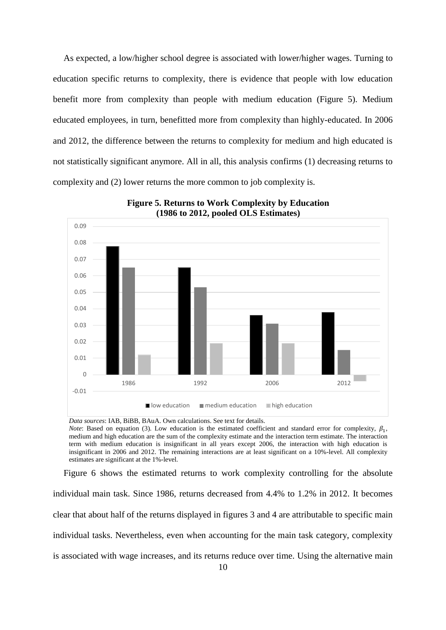As expected, a low/higher school degree is associated with lower/higher wages. Turning to education specific returns to complexity, there is evidence that people with low education benefit more from complexity than people with medium education (Figure 5). Medium educated employees, in turn, benefitted more from complexity than highly-educated. In 2006 and 2012, the difference between the returns to complexity for medium and high educated is not statistically significant anymore. All in all, this analysis confirms (1) decreasing returns to complexity and (2) lower returns the more common to job complexity is.



**Figure 5. Returns to Work Complexity by Education (1986 to 2012, pooled OLS Estimates)**

*Data sources*: IAB, BiBB, BAuA. Own calculations. See text for details. *Note*: Based on equation (3). Low education is the estimated coefficient and standard error for complexity,  $\beta_1$ ,

medium and high education are the sum of the complexity estimate and the interaction term estimate. The interaction term with medium education is insignificant in all years except 2006, the interaction with high education is insignificant in 2006 and 2012. The remaining interactions are at least significant on a 10%-level. All complexity estimates are significant at the 1%-level.

Figure 6 shows the estimated returns to work complexity controlling for the absolute individual main task. Since 1986, returns decreased from 4.4% to 1.2% in 2012. It becomes clear that about half of the returns displayed in figures 3 and 4 are attributable to specific main individual tasks. Nevertheless, even when accounting for the main task category, complexity is associated with wage increases, and its returns reduce over time. Using the alternative main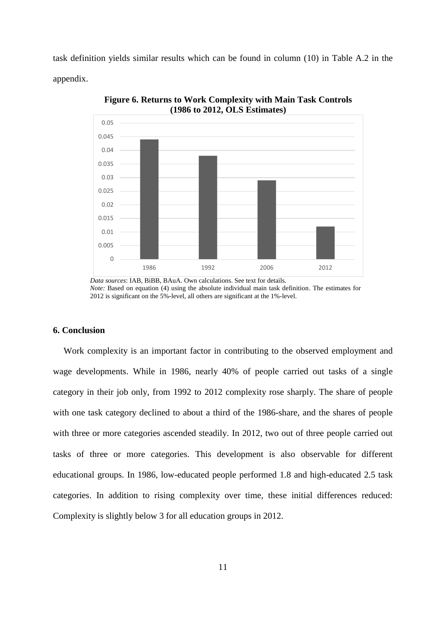task definition yields similar results which can be found in column (10) in Table A.2 in the appendix.



**Figure 6. Returns to Work Complexity with Main Task Controls (1986 to 2012, OLS Estimates)**

#### **6. Conclusion**

Work complexity is an important factor in contributing to the observed employment and wage developments. While in 1986, nearly 40% of people carried out tasks of a single category in their job only, from 1992 to 2012 complexity rose sharply. The share of people with one task category declined to about a third of the 1986-share, and the shares of people with three or more categories ascended steadily. In 2012, two out of three people carried out tasks of three or more categories. This development is also observable for different educational groups. In 1986, low-educated people performed 1.8 and high-educated 2.5 task categories. In addition to rising complexity over time, these initial differences reduced: Complexity is slightly below 3 for all education groups in 2012.

*Data sources*: IAB, BiBB, BAuA. Own calculations. See text for details. *Note:* Based on equation (4) using the absolute individual main task definition. The estimates for 2012 is significant on the 5%-level, all others are significant at the 1%-level.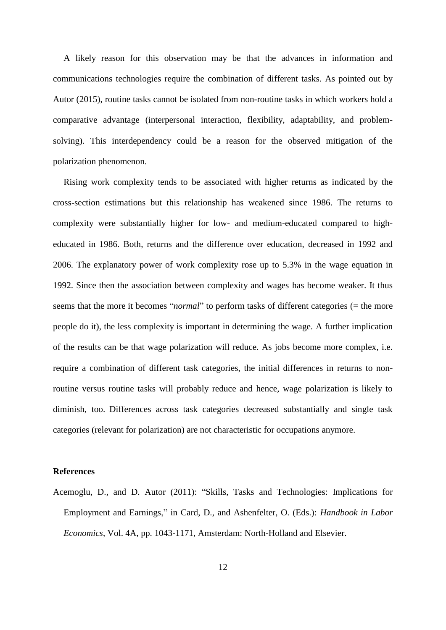A likely reason for this observation may be that the advances in information and communications technologies require the combination of different tasks. As pointed out by Autor (2015), routine tasks cannot be isolated from non-routine tasks in which workers hold a comparative advantage (interpersonal interaction, flexibility, adaptability, and problemsolving). This interdependency could be a reason for the observed mitigation of the polarization phenomenon.

Rising work complexity tends to be associated with higher returns as indicated by the cross-section estimations but this relationship has weakened since 1986. The returns to complexity were substantially higher for low- and medium-educated compared to higheducated in 1986. Both, returns and the difference over education, decreased in 1992 and 2006. The explanatory power of work complexity rose up to 5.3% in the wage equation in 1992. Since then the association between complexity and wages has become weaker. It thus seems that the more it becomes "*normal*" to perform tasks of different categories (= the more people do it), the less complexity is important in determining the wage. A further implication of the results can be that wage polarization will reduce. As jobs become more complex, i.e. require a combination of different task categories, the initial differences in returns to nonroutine versus routine tasks will probably reduce and hence, wage polarization is likely to diminish, too. Differences across task categories decreased substantially and single task categories (relevant for polarization) are not characteristic for occupations anymore.

#### **References**

Acemoglu, D., and D. Autor (2011): "Skills, Tasks and Technologies: Implications for Employment and Earnings," in Card, D., and Ashenfelter, O. (Eds.): *Handbook in Labor Economics*, Vol. 4A, pp. 1043-1171, Amsterdam: North-Holland and Elsevier.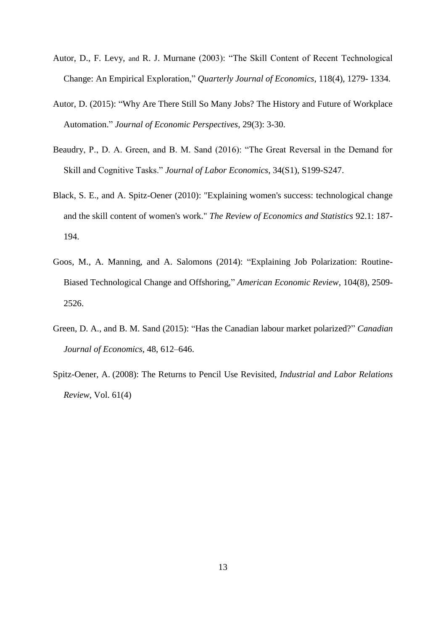- Autor, D., F. Levy, and R. J. Murnane (2003): "The Skill Content of Recent Technological Change: An Empirical Exploration," *Quarterly Journal of Economics*, 118(4), 1279- 1334.
- Autor, D. (2015): "Why Are There Still So Many Jobs? The History and Future of Workplace Automation." *Journal of Economic Perspectives*, 29(3): 3-30.
- Beaudry, P., D. A. Green, and B. M. Sand (2016): "The Great Reversal in the Demand for Skill and Cognitive Tasks." *Journal of Labor Economics*, 34(S1), S199-S247.
- Black, S. E., and A. Spitz-Oener (2010): "Explaining women's success: technological change and the skill content of women's work." *The Review of Economics and Statistics* 92.1: 187- 194.
- Goos, M., A. Manning, and A. Salomons (2014): "Explaining Job Polarization: Routine-Biased Technological Change and Offshoring," *American Economic Review*, 104(8), 2509- 2526.
- Green, D. A., and B. M. Sand (2015): "Has the Canadian labour market polarized?" *Canadian Journal of Economics*, 48, 612–646.
- Spitz-Oener, A. (2008): The Returns to Pencil Use Revisited, *Industrial and Labor Relations Review*, Vol. 61(4)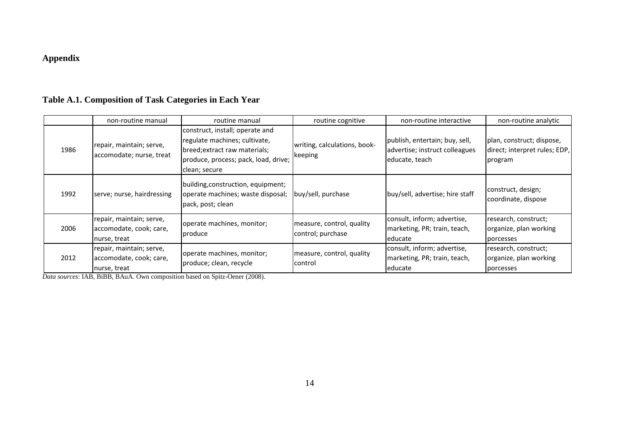### **Appendix**

### **Table A.1. Composition of Task Categories in Each Year**

|      | non-routine manual                                                  | routine manual                                                                                                                                             | routine cognitive                              | non-routine interactive                                                            | non-routine analytic                                                  |
|------|---------------------------------------------------------------------|------------------------------------------------------------------------------------------------------------------------------------------------------------|------------------------------------------------|------------------------------------------------------------------------------------|-----------------------------------------------------------------------|
| 1986 | repair, maintain; serve,<br>accomodate; nurse, treat                | construct, install; operate and<br>regulate machines; cultivate,<br>breed; extract raw materials;<br>produce, process; pack, load, drive;<br>clean; secure | writing, calculations, book-<br>keeping        | publish, entertain; buy, sell,<br>advertise; instruct colleagues<br>educate, teach | plan, construct; dispose,<br>direct; interpret rules; EDP,<br>program |
| 1992 | serve; nurse, hairdressing                                          | building, construction, equipment;<br>operate machines; waste disposal;<br>pack, post; clean                                                               | buy/sell, purchase                             | buy/sell, advertise; hire staff                                                    | construct, design;<br>coordinate, dispose                             |
| 2006 | repair, maintain; serve,<br>accomodate, cook; care,<br>nurse, treat | operate machines, monitor;<br>produce                                                                                                                      | measure, control, quality<br>control; purchase | consult, inform; advertise,<br>marketing, PR; train, teach,<br>leducate            | research, construct;<br>organize, plan working<br>porcesses           |
| 2012 | repair, maintain; serve,<br>accomodate, cook; care,<br>nurse, treat | operate machines, monitor;<br>produce; clean, recycle                                                                                                      | measure, control, quality<br>control           | consult, inform; advertise,<br>marketing, PR; train, teach,<br>educate             | research, construct;<br>organize, plan working<br>porcesses           |

*Data sources*: IAB, BiBB, BAuA. Own composition based on Spitz-Oener (2008).